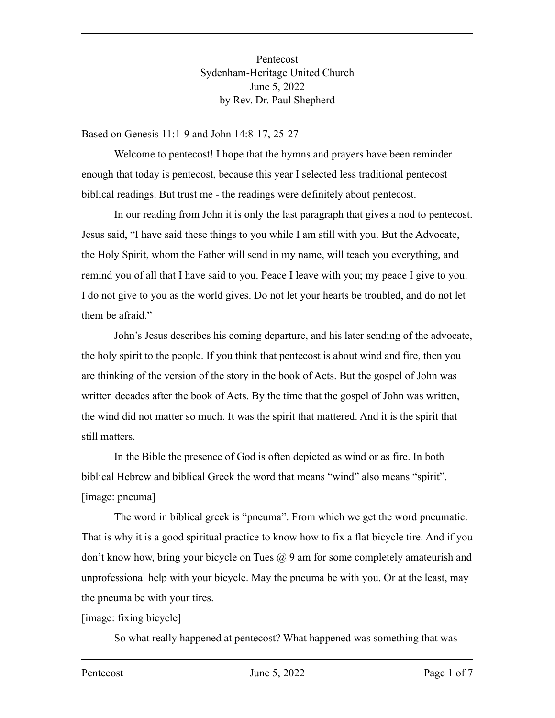Pentecost Sydenham-Heritage United Church June 5, 2022 by Rev. Dr. Paul Shepherd

Based on Genesis 11:1-9 and John 14:8-17, 25-27

Welcome to pentecost! I hope that the hymns and prayers have been reminder enough that today is pentecost, because this year I selected less traditional pentecost biblical readings. But trust me - the readings were definitely about pentecost.

In our reading from John it is only the last paragraph that gives a nod to pentecost. Jesus said, "I have said these things to you while I am still with you. But the Advocate, the Holy Spirit, whom the Father will send in my name, will teach you everything, and remind you of all that I have said to you. Peace I leave with you; my peace I give to you. I do not give to you as the world gives. Do not let your hearts be troubled, and do not let them be afraid."

John's Jesus describes his coming departure, and his later sending of the advocate, the holy spirit to the people. If you think that pentecost is about wind and fire, then you are thinking of the version of the story in the book of Acts. But the gospel of John was written decades after the book of Acts. By the time that the gospel of John was written, the wind did not matter so much. It was the spirit that mattered. And it is the spirit that still matters.

In the Bible the presence of God is often depicted as wind or as fire. In both biblical Hebrew and biblical Greek the word that means "wind" also means "spirit". [image: pneuma]

The word in biblical greek is "pneuma". From which we get the word pneumatic. That is why it is a good spiritual practice to know how to fix a flat bicycle tire. And if you don't know how, bring your bicycle on Tues  $\omega$  9 am for some completely amateurish and unprofessional help with your bicycle. May the pneuma be with you. Or at the least, may the pneuma be with your tires.

[image: fixing bicycle]

So what really happened at pentecost? What happened was something that was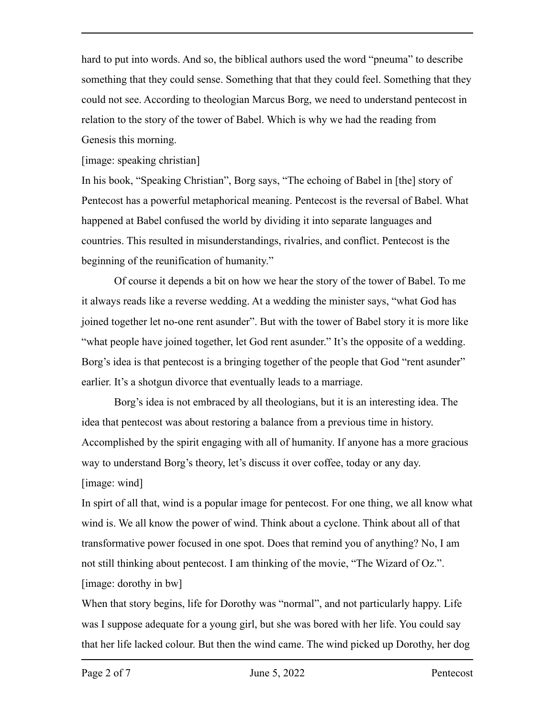hard to put into words. And so, the biblical authors used the word "pneuma" to describe something that they could sense. Something that that they could feel. Something that they could not see. According to theologian Marcus Borg, we need to understand pentecost in relation to the story of the tower of Babel. Which is why we had the reading from Genesis this morning.

[image: speaking christian]

In his book, "Speaking Christian", Borg says, "The echoing of Babel in [the] story of Pentecost has a powerful metaphorical meaning. Pentecost is the reversal of Babel. What happened at Babel confused the world by dividing it into separate languages and countries. This resulted in misunderstandings, rivalries, and conflict. Pentecost is the beginning of the reunification of humanity."

Of course it depends a bit on how we hear the story of the tower of Babel. To me it always reads like a reverse wedding. At a wedding the minister says, "what God has joined together let no-one rent asunder". But with the tower of Babel story it is more like "what people have joined together, let God rent asunder." It's the opposite of a wedding. Borg's idea is that pentecost is a bringing together of the people that God "rent asunder" earlier. It's a shotgun divorce that eventually leads to a marriage.

Borg's idea is not embraced by all theologians, but it is an interesting idea. The idea that pentecost was about restoring a balance from a previous time in history. Accomplished by the spirit engaging with all of humanity. If anyone has a more gracious way to understand Borg's theory, let's discuss it over coffee, today or any day. [image: wind]

In spirt of all that, wind is a popular image for pentecost. For one thing, we all know what wind is. We all know the power of wind. Think about a cyclone. Think about all of that transformative power focused in one spot. Does that remind you of anything? No, I am not still thinking about pentecost. I am thinking of the movie, "The Wizard of Oz.". [image: dorothy in bw]

When that story begins, life for Dorothy was "normal", and not particularly happy. Life was I suppose adequate for a young girl, but she was bored with her life. You could say that her life lacked colour. But then the wind came. The wind picked up Dorothy, her dog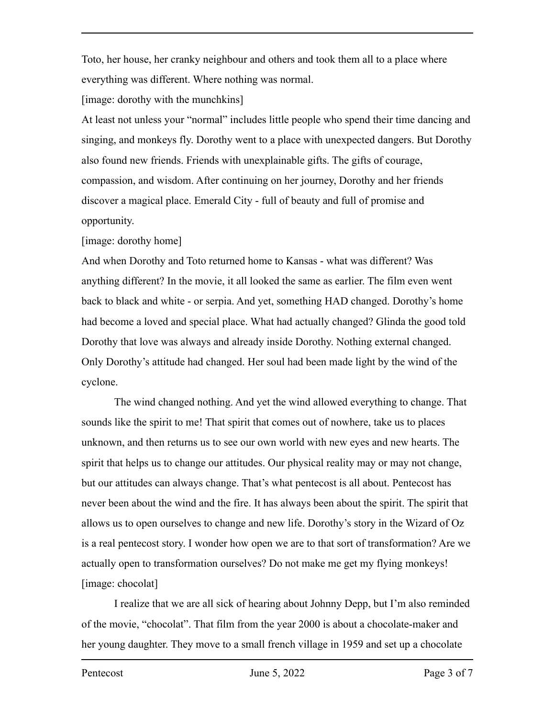Toto, her house, her cranky neighbour and others and took them all to a place where everything was different. Where nothing was normal.

[image: dorothy with the munchkins]

At least not unless your "normal" includes little people who spend their time dancing and singing, and monkeys fly. Dorothy went to a place with unexpected dangers. But Dorothy also found new friends. Friends with unexplainable gifts. The gifts of courage, compassion, and wisdom. After continuing on her journey, Dorothy and her friends discover a magical place. Emerald City - full of beauty and full of promise and opportunity.

[image: dorothy home]

And when Dorothy and Toto returned home to Kansas - what was different? Was anything different? In the movie, it all looked the same as earlier. The film even went back to black and white - or serpia. And yet, something HAD changed. Dorothy's home had become a loved and special place. What had actually changed? Glinda the good told Dorothy that love was always and already inside Dorothy. Nothing external changed. Only Dorothy's attitude had changed. Her soul had been made light by the wind of the cyclone.

The wind changed nothing. And yet the wind allowed everything to change. That sounds like the spirit to me! That spirit that comes out of nowhere, take us to places unknown, and then returns us to see our own world with new eyes and new hearts. The spirit that helps us to change our attitudes. Our physical reality may or may not change, but our attitudes can always change. That's what pentecost is all about. Pentecost has never been about the wind and the fire. It has always been about the spirit. The spirit that allows us to open ourselves to change and new life. Dorothy's story in the Wizard of Oz is a real pentecost story. I wonder how open we are to that sort of transformation? Are we actually open to transformation ourselves? Do not make me get my flying monkeys! [image: chocolat]

I realize that we are all sick of hearing about Johnny Depp, but I'm also reminded of the movie, "chocolat". That film from the year 2000 is about a chocolate-maker and her young daughter. They move to a small french village in 1959 and set up a chocolate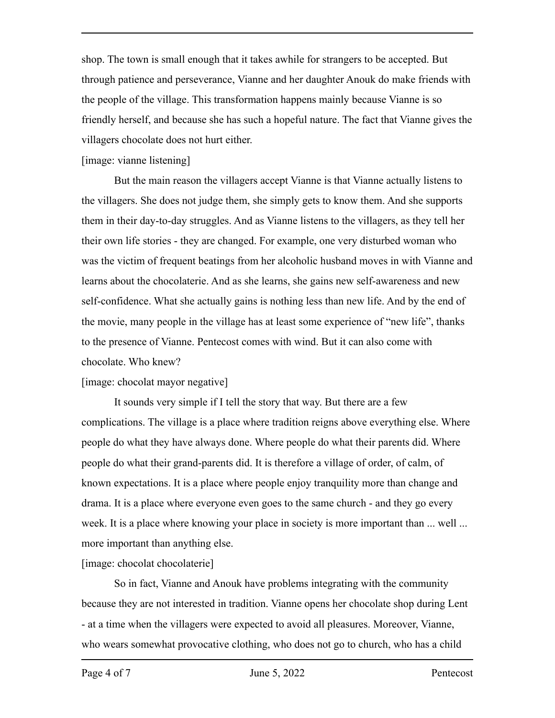shop. The town is small enough that it takes awhile for strangers to be accepted. But through patience and perseverance, Vianne and her daughter Anouk do make friends with the people of the village. This transformation happens mainly because Vianne is so friendly herself, and because she has such a hopeful nature. The fact that Vianne gives the villagers chocolate does not hurt either.

## [image: vianne listening]

But the main reason the villagers accept Vianne is that Vianne actually listens to the villagers. She does not judge them, she simply gets to know them. And she supports them in their day-to-day struggles. And as Vianne listens to the villagers, as they tell her their own life stories - they are changed. For example, one very disturbed woman who was the victim of frequent beatings from her alcoholic husband moves in with Vianne and learns about the chocolaterie. And as she learns, she gains new self-awareness and new self-confidence. What she actually gains is nothing less than new life. And by the end of the movie, many people in the village has at least some experience of "new life", thanks to the presence of Vianne. Pentecost comes with wind. But it can also come with chocolate. Who knew?

## [image: chocolat mayor negative]

It sounds very simple if I tell the story that way. But there are a few complications. The village is a place where tradition reigns above everything else. Where people do what they have always done. Where people do what their parents did. Where people do what their grand-parents did. It is therefore a village of order, of calm, of known expectations. It is a place where people enjoy tranquility more than change and drama. It is a place where everyone even goes to the same church - and they go every week. It is a place where knowing your place in society is more important than ... well ... more important than anything else.

## [image: chocolat chocolaterie]

So in fact, Vianne and Anouk have problems integrating with the community because they are not interested in tradition. Vianne opens her chocolate shop during Lent - at a time when the villagers were expected to avoid all pleasures. Moreover, Vianne, who wears somewhat provocative clothing, who does not go to church, who has a child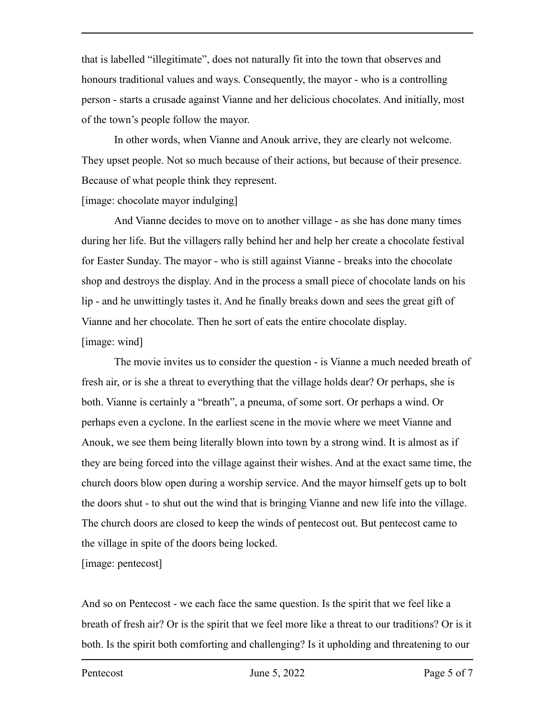that is labelled "illegitimate", does not naturally fit into the town that observes and honours traditional values and ways. Consequently, the mayor - who is a controlling person - starts a crusade against Vianne and her delicious chocolates. And initially, most of the town's people follow the mayor.

In other words, when Vianne and Anouk arrive, they are clearly not welcome. They upset people. Not so much because of their actions, but because of their presence. Because of what people think they represent.

## [image: chocolate mayor indulging]

And Vianne decides to move on to another village - as she has done many times during her life. But the villagers rally behind her and help her create a chocolate festival for Easter Sunday. The mayor - who is still against Vianne - breaks into the chocolate shop and destroys the display. And in the process a small piece of chocolate lands on his lip - and he unwittingly tastes it. And he finally breaks down and sees the great gift of Vianne and her chocolate. Then he sort of eats the entire chocolate display. [image: wind]

The movie invites us to consider the question - is Vianne a much needed breath of fresh air, or is she a threat to everything that the village holds dear? Or perhaps, she is both. Vianne is certainly a "breath", a pneuma, of some sort. Or perhaps a wind. Or perhaps even a cyclone. In the earliest scene in the movie where we meet Vianne and Anouk, we see them being literally blown into town by a strong wind. It is almost as if they are being forced into the village against their wishes. And at the exact same time, the church doors blow open during a worship service. And the mayor himself gets up to bolt the doors shut - to shut out the wind that is bringing Vianne and new life into the village. The church doors are closed to keep the winds of pentecost out. But pentecost came to the village in spite of the doors being locked.

[image: pentecost]

And so on Pentecost - we each face the same question. Is the spirit that we feel like a breath of fresh air? Or is the spirit that we feel more like a threat to our traditions? Or is it both. Is the spirit both comforting and challenging? Is it upholding and threatening to our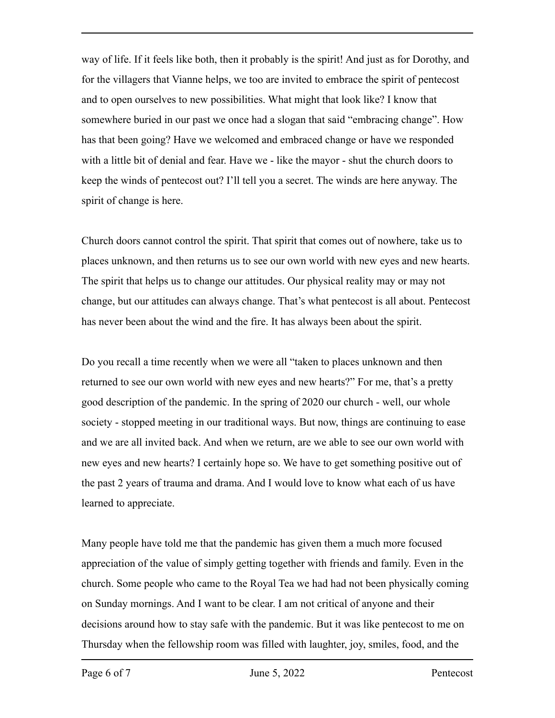way of life. If it feels like both, then it probably is the spirit! And just as for Dorothy, and for the villagers that Vianne helps, we too are invited to embrace the spirit of pentecost and to open ourselves to new possibilities. What might that look like? I know that somewhere buried in our past we once had a slogan that said "embracing change". How has that been going? Have we welcomed and embraced change or have we responded with a little bit of denial and fear. Have we - like the mayor - shut the church doors to keep the winds of pentecost out? I'll tell you a secret. The winds are here anyway. The spirit of change is here.

Church doors cannot control the spirit. That spirit that comes out of nowhere, take us to places unknown, and then returns us to see our own world with new eyes and new hearts. The spirit that helps us to change our attitudes. Our physical reality may or may not change, but our attitudes can always change. That's what pentecost is all about. Pentecost has never been about the wind and the fire. It has always been about the spirit.

Do you recall a time recently when we were all "taken to places unknown and then returned to see our own world with new eyes and new hearts?" For me, that's a pretty good description of the pandemic. In the spring of 2020 our church - well, our whole society - stopped meeting in our traditional ways. But now, things are continuing to ease and we are all invited back. And when we return, are we able to see our own world with new eyes and new hearts? I certainly hope so. We have to get something positive out of the past 2 years of trauma and drama. And I would love to know what each of us have learned to appreciate.

Many people have told me that the pandemic has given them a much more focused appreciation of the value of simply getting together with friends and family. Even in the church. Some people who came to the Royal Tea we had had not been physically coming on Sunday mornings. And I want to be clear. I am not critical of anyone and their decisions around how to stay safe with the pandemic. But it was like pentecost to me on Thursday when the fellowship room was filled with laughter, joy, smiles, food, and the